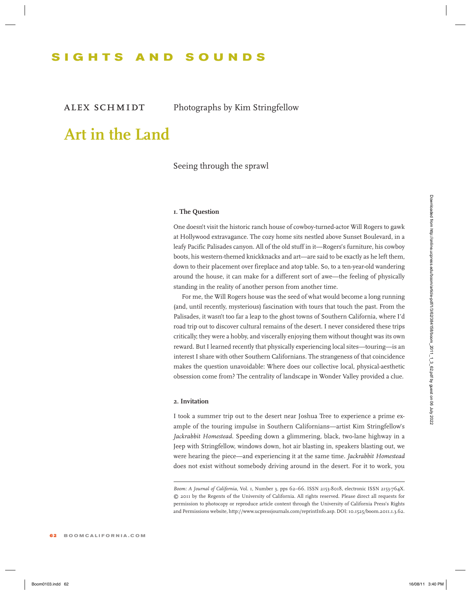## **S ights and S ounds**

*alex schmidt*

Photographs by Kim Stringfellow

# **Art in the Land**

### Seeing through the sprawl

#### **1. The Question**

One doesn't visit the historic ranch house of cowboy-turned-actor Will Rogers to gawk at Hollywood extravagance. The cozy home sits nestled above Sunset Boulevard, in a leafy Pacific Palisades canyon. All of the old stuff in it—Rogers's furniture, his cowboy boots, his western-themed knickknacks and art—are said to be exactly as he left them, down to their placement over fireplace and atop table. So, to a ten-year-old wandering around the house, it can make for a different sort of awe—the feeling of physically standing in the reality of another person from another time.

For me, the Will Rogers house was the seed of what would become a long running (and, until recently, mysterious) fascination with tours that touch the past. From the Palisades, it wasn't too far a leap to the ghost towns of Southern California, where I'd road trip out to discover cultural remains of the desert. I never considered these trips critically; they were a hobby, and viscerally enjoying them without thought was its own reward. But I learned recently that physically experiencing local sites—touring—is an interest I share with other Southern Californians. The strangeness of that coincidence makes the question unavoidable: Where does our collective local, physical-aesthetic obsession come from? The centrality of landscape in Wonder Valley provided a clue. 1. The Question<br>
One downed valid exploration. Each conservate distributed from his conservative selections and the state of the conservative selections are press.<br>
Let's be the conservative selection of the conservative

#### **2. Invitation**

I took a summer trip out to the desert near Joshua Tree to experience a prime example of the touring impulse in Southern Californians—artist Kim Stringfellow's *Jackrabbit Homestead.* Speeding down a glimmering, black, two-lane highway in a Jeep with Stringfellow, windows down, hot air blasting in, speakers blasting out, we were hearing the piece—and experiencing it at the same time. *Jackrabbit Homestead* does not exist without somebody driving around in the desert. For it to work, you

*Boom: A Journal of California,* Vol. 1, Number 3, pps 62–66. ISSN 2153-8018, electronic ISSN 2153-764X. © 2011 by the Regents of the University of California. All rights reserved. Please direct all requests for permission to photocopy or reproduce article content through the University of California Press's Rights and Permissions website, http://www.ucpressjournals.com/reprintInfo.asp. DOI: 10.1525/boom.2011.1.3.62.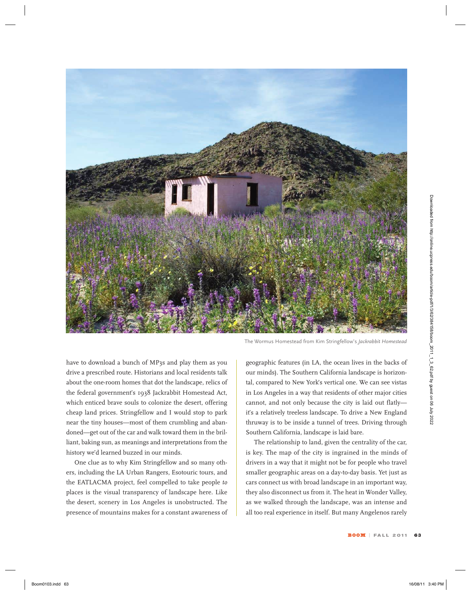

The Wormus Homestead from Kim Stringfellow's *Jackrabbit Homestead*

have to download a bunch of MP3s and play them as you drive a prescribed route. Historians and local residents talk about the one-room homes that dot the landscape, relics of the federal government's 1938 Jackrabbit Homestead Act, which enticed brave souls to colonize the desert, offering cheap land prices. Stringfellow and I would stop to park near the tiny houses—most of them crumbling and abandoned—get out of the car and walk toward them in the brilliant, baking sun, as meanings and interpretations from the history we'd learned buzzed in our minds.

One clue as to why Kim Stringfellow and so many others, including the LA Urban Rangers, Esotouric tours, and the EATLACMA project, feel compelled to take people *to*  places is the visual transparency of landscape here. Like the desert, scenery in Los Angeles is unobstructed. The presence of mountains makes for a constant awareness of geographic features (in LA, the ocean lives in the backs of our minds). The Southern California landscape is horizontal, compared to New York's vertical one. We can see vistas in Los Angeles in a way that residents of other major cities cannot, and not only because the city is laid out flatly it's a relatively treeless landscape. To drive a New England thruway is to be inside a tunnel of trees. Driving through Southern California, landscape is laid bare.

The relationship to land, given the centrality of the car, is key. The map of the city is ingrained in the minds of drivers in a way that it might not be for people who travel smaller geographic areas on a day-to-day basis. Yet just as cars connect us with broad landscape in an important way, they also disconnect us from it. The heat in Wonder Valley, as we walked through the landscape, was an intense and all too real experience in itself. But many Angelenos rarely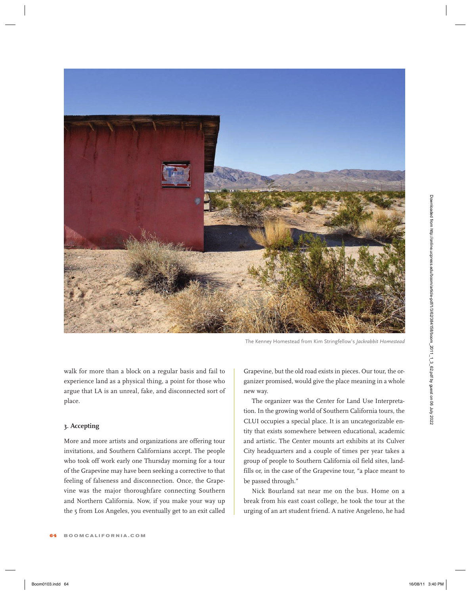

The Kenney Homestead from Kim Stringfellow's *Jackrabbit Homestead*

walk for more than a block on a regular basis and fail to experience land as a physical thing, a point for those who argue that LA is an unreal, fake, and disconnected sort of place.

#### **3. Accepting**

More and more artists and organizations are offering tour invitations, and Southern Californians accept. The people who took off work early one Thursday morning for a tour of the Grapevine may have been seeking a corrective to that feeling of falseness and disconnection. Once, the Grapevine was the major thoroughfare connecting Southern and Northern California. Now, if you make your way up the 5 from Los Angeles, you eventually get to an exit called

Grapevine, but the old road exists in pieces. Our tour, the organizer promised, would give the place meaning in a whole new way.

The organizer was the Center for Land Use Interpretation. In the growing world of Southern California tours, the CLUI occupies a special place. It is an uncategorizable entity that exists somewhere between educational, academic and artistic. The Center mounts art exhibits at its Culver City headquarters and a couple of times per year takes a group of people to Southern California oil field sites, landfills or, in the case of the Grapevine tour, "a place meant to be passed through."

Nick Bourland sat near me on the bus. Home on a break from his east coast college, he took the tour at the urging of an art student friend. A native Angeleno, he had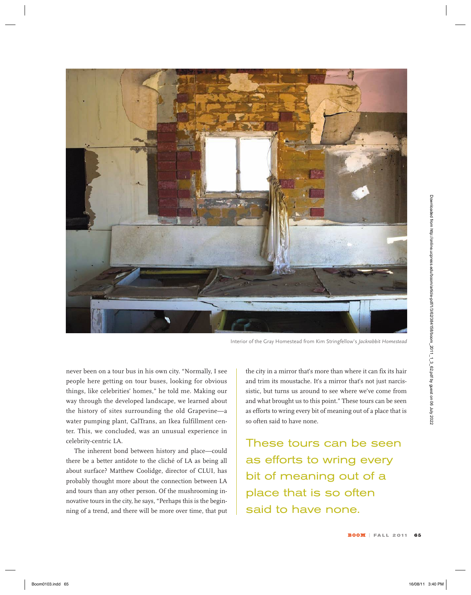

Interior of the Gray Homestead from Kim Stringfellow's *Jackrabbit Homestead*

never been on a tour bus in his own city. "Normally, I see people here getting on tour buses, looking for obvious things, like celebrities' homes," he told me. Making our way through the developed landscape, we learned about the history of sites surrounding the old Grapevine—a water pumping plant, CalTrans, an Ikea fulfillment center. This, we concluded, was an unusual experience in celebrity-centric LA.

The inherent bond between history and place—could there be a better antidote to the cliché of LA as being all about surface? Matthew Coolidge, director of CLUI, has probably thought more about the connection between LA and tours than any other person. Of the mushrooming innovative tours in the city, he says, "Perhaps this is the beginning of a trend, and there will be more over time, that put

the city in a mirror that's more than where it can fix its hair and trim its moustache. It's a mirror that's not just narcissistic, but turns us around to see where we've come from and what brought us to this point." These tours can be seen as efforts to wring every bit of meaning out of a place that is so often said to have none.

These tours can be seen as efforts to wring every bit of meaning out of a place that is so often said to have none.